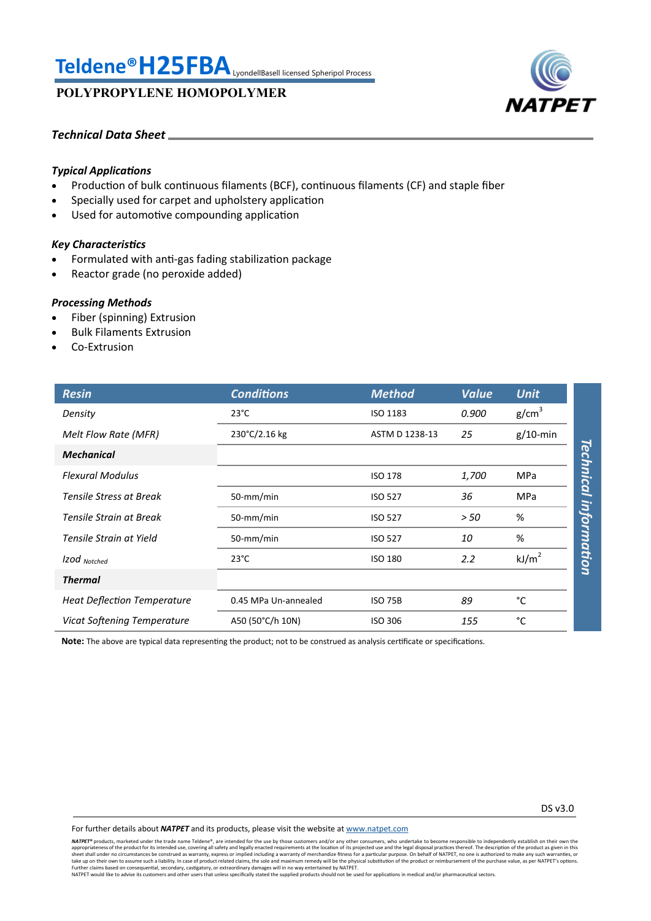# **Teldene®H25FBA**LyondellBasell licensed Spheripol Process

**POLYPROPYLENE HOMOPOLYMER**



#### *Technical Data Sheet*

#### *Typical Applications*

- Production of bulk continuous filaments (BCF), continuous filaments (CF) and staple fiber
- Specially used for carpet and upholstery application
- Used for automotive compounding application

### *Key Characteristics*

- Formulated with anti-gas fading stabilization package
- Reactor grade (no peroxide added)

#### *Processing Methods*

- Fiber (spinning) Extrusion
- Bulk Filaments Extrusion
- Co-Extrusion

| <b>Resin</b>                       | <b>Conditions</b>    | <b>Method</b>  | <b>Value</b> | <b>Unit</b>                           |
|------------------------------------|----------------------|----------------|--------------|---------------------------------------|
| Density                            | $23^{\circ}$ C       | ISO 1183       | 0.900        | g/cm <sup>3</sup>                     |
| Melt Flow Rate (MFR)               | 230°C/2.16 kg        | ASTM D 1238-13 | 25           | $g/10$ -min                           |
| <b>Mechanical</b>                  |                      |                |              |                                       |
| <b>Flexural Modulus</b>            |                      | <b>ISO 178</b> | 1,700        | <b><i>Fechnical</i></b><br><b>MPa</b> |
| <b>Tensile Stress at Break</b>     | 50-mm/min            | <b>ISO 527</b> | 36           | <b>MPa</b>                            |
| Tensile Strain at Break            | 50-mm/min            | <b>ISO 527</b> | > 50         | %                                     |
| Tensile Strain at Yield            | 50-mm/min            | <b>ISO 527</b> | 10           | %                                     |
| Izod Notched                       | $23^{\circ}$ C       | <b>ISO 180</b> | 2.2          | information<br>kJ/m <sup>2</sup>      |
| <b>Thermal</b>                     |                      |                |              |                                       |
| <b>Heat Deflection Temperature</b> | 0.45 MPa Un-annealed | <b>ISO 75B</b> | 89           | °C                                    |
| Vicat Softening Temperature        | A50 (50°C/h 10N)     | <b>ISO 306</b> | 155          | °C                                    |

**Note:** The above are typical data representing the product; not to be construed as analysis certificate or specifications.

For further details about *NATPET* and its products, please visit the website at [www.natpet.com](http://www.natpet.com)

**NATPET®** products, marketed under the trade name Teldene®, are intended for the use by those customers and/or any other consumers, who undertake to become responsible to independently establish on their own the trade name